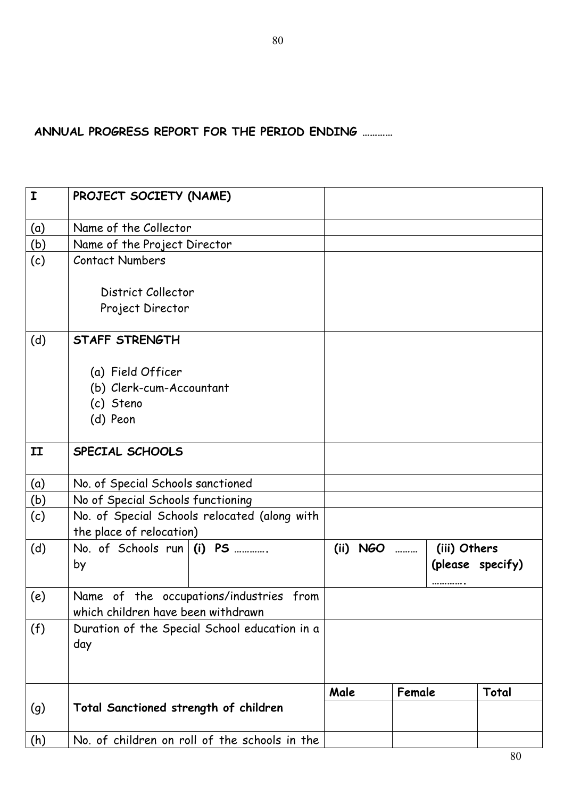**ANNUAL PROGRESS REPORT FOR THE PERIOD ENDING …………** 

| $\mathbf I$ | PROJECT SOCIETY (NAME)                                                        |      |            |        |              |                  |
|-------------|-------------------------------------------------------------------------------|------|------------|--------|--------------|------------------|
| (a)         | Name of the Collector                                                         |      |            |        |              |                  |
| (b)         | Name of the Project Director                                                  |      |            |        |              |                  |
| (c)         | <b>Contact Numbers</b>                                                        |      |            |        |              |                  |
|             | District Collector                                                            |      |            |        |              |                  |
|             | Project Director                                                              |      |            |        |              |                  |
| (d)         | STAFF STRENGTH                                                                |      |            |        |              |                  |
|             | (a) Field Officer                                                             |      |            |        |              |                  |
|             | (b) Clerk-cum-Accountant                                                      |      |            |        |              |                  |
|             | (c) Steno                                                                     |      |            |        |              |                  |
|             | (d) Peon                                                                      |      |            |        |              |                  |
| II          | SPECIAL SCHOOLS                                                               |      |            |        |              |                  |
| (a)         | No. of Special Schools sanctioned                                             |      |            |        |              |                  |
| (b)         | No of Special Schools functioning                                             |      |            |        |              |                  |
| (c)         | No. of Special Schools relocated (along with                                  |      |            |        |              |                  |
|             | the place of relocation)                                                      |      |            |        |              |                  |
| (d)         | No. of Schools run $(i)$ PS                                                   |      | (ii) $NGO$ |        | (iii) Others |                  |
|             | by                                                                            |      |            |        |              | (please specify) |
| (e)         | Name of the occupations/industries from<br>which children have been withdrawn |      |            |        |              |                  |
| (f)         | Duration of the Special School education in a                                 |      |            |        |              |                  |
|             | day                                                                           |      |            |        |              |                  |
|             |                                                                               |      |            |        |              |                  |
|             |                                                                               | Male |            | Female |              | Total            |
| (g)         | Total Sanctioned strength of children                                         |      |            |        |              |                  |
| (h)         | No. of children on roll of the schools in the                                 |      |            |        |              |                  |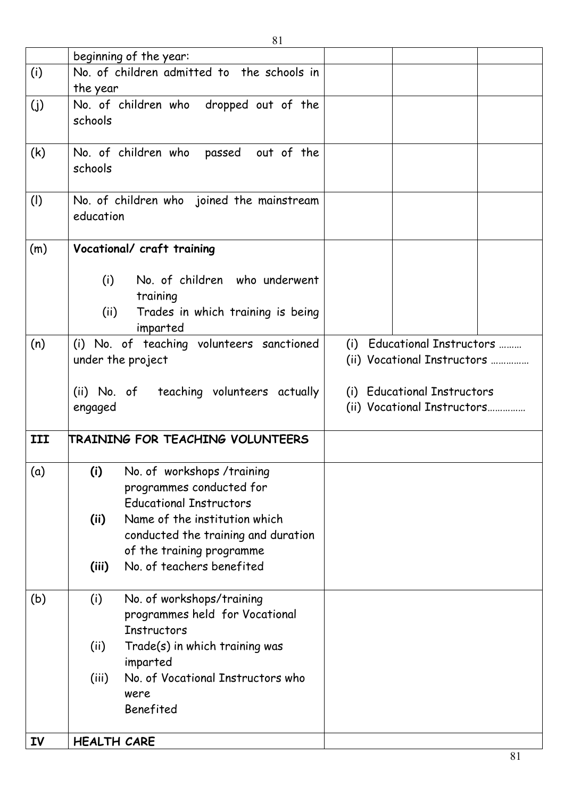|           | 81                                                                                                        |                                                            |  |  |  |
|-----------|-----------------------------------------------------------------------------------------------------------|------------------------------------------------------------|--|--|--|
|           | beginning of the year:                                                                                    |                                                            |  |  |  |
| (i)       | No. of children admitted to the schools in<br>the year                                                    |                                                            |  |  |  |
| (j)       | No. of children who dropped out of the<br>schools                                                         |                                                            |  |  |  |
| (k)       | No. of children who passed out of the<br>schools                                                          |                                                            |  |  |  |
| (1)       | No. of children who joined the mainstream<br>education                                                    |                                                            |  |  |  |
| (m)       | Vocational/ craft training                                                                                |                                                            |  |  |  |
|           | No. of children who underwent<br>(i)<br>training<br>Trades in which training is being<br>(ii)             |                                                            |  |  |  |
|           | imparted                                                                                                  |                                                            |  |  |  |
| (n)       | (i) No. of teaching volunteers sanctioned<br>under the project                                            | (i) Educational Instructors<br>(ii) Vocational Instructors |  |  |  |
|           | (ii) No. of teaching volunteers actually<br>engaged                                                       | (i) Educational Instructors<br>(ii) Vocational Instructors |  |  |  |
| III       | TRAINING FOR TEACHING VOLUNTEERS                                                                          |                                                            |  |  |  |
| (a)       | (i)<br>No. of workshops /training<br>programmes conducted for<br><b>Educational Instructors</b>           |                                                            |  |  |  |
|           | Name of the institution which<br>(ii)<br>conducted the training and duration<br>of the training programme |                                                            |  |  |  |
|           | No. of teachers benefited<br>(iii)                                                                        |                                                            |  |  |  |
| (b)       | (i)<br>No. of workshops/training<br>programmes held for Vocational<br><b>Instructors</b>                  |                                                            |  |  |  |
|           | (ii)<br>Trade(s) in which training was<br>imparted                                                        |                                                            |  |  |  |
|           | No. of Vocational Instructors who<br>(iii)<br>were<br>Benefited                                           |                                                            |  |  |  |
| <b>IV</b> | <b>HEALTH CARE</b>                                                                                        |                                                            |  |  |  |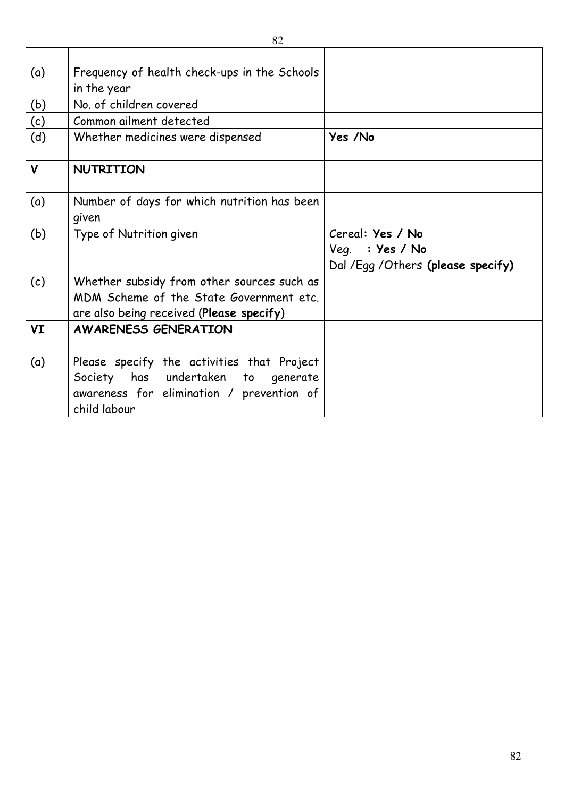| (a)          | Frequency of health check-ups in the Schools |                                    |
|--------------|----------------------------------------------|------------------------------------|
|              | in the year                                  |                                    |
| (b)          | No. of children covered                      |                                    |
| (c)          | Common ailment detected                      |                                    |
| (d)          | Whether medicines were dispensed             | Yes /No                            |
| $\mathsf{V}$ | NUTRITION                                    |                                    |
| (a)          | Number of days for which nutrition has been  |                                    |
|              | given                                        |                                    |
| (b)          | Type of Nutrition given                      | Cereal: Yes / No                   |
|              |                                              | Veg. : Yes / No                    |
|              |                                              | Dal /Egg / Others (please specify) |
| (c)          | Whether subsidy from other sources such as   |                                    |
|              | MDM Scheme of the State Government etc.      |                                    |
|              | are also being received (Please specify)     |                                    |
| VI           | <b>AWARENESS GENERATION</b>                  |                                    |
|              |                                              |                                    |
| (a)          | Please specify the activities that Project   |                                    |
|              | Society has undertaken to<br>generate        |                                    |
|              | awareness for elimination / prevention of    |                                    |
|              | child labour                                 |                                    |